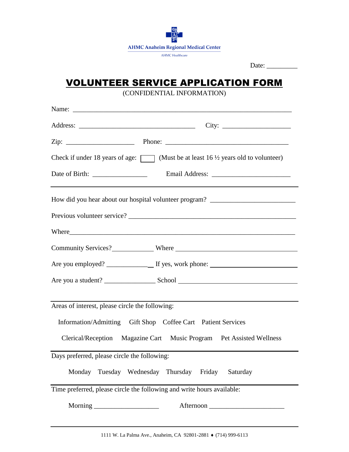

## VOLUNTEER SERVICE APPLICATION FORM

(CONFIDENTIAL INFORMATION)

| Name:                                                                                             |  |  |
|---------------------------------------------------------------------------------------------------|--|--|
|                                                                                                   |  |  |
|                                                                                                   |  |  |
| Check if under 18 years of age: $\Box$ (Must be at least 16 $\frac{1}{2}$ years old to volunteer) |  |  |
|                                                                                                   |  |  |
| How did you hear about our hospital volunteer program? _________________________                  |  |  |
|                                                                                                   |  |  |
|                                                                                                   |  |  |
|                                                                                                   |  |  |
|                                                                                                   |  |  |
|                                                                                                   |  |  |
| Areas of interest, please circle the following:                                                   |  |  |
| Information/Admitting Gift Shop Coffee Cart Patient Services                                      |  |  |
| Clerical/Reception Magazine Cart Music Program Pet Assisted Wellness                              |  |  |
| Days preferred, please circle the following:                                                      |  |  |
| Monday Tuesday Wednesday Thursday Friday<br>Saturday                                              |  |  |
| Time preferred, please circle the following and write hours available:                            |  |  |
| Afternoon                                                                                         |  |  |